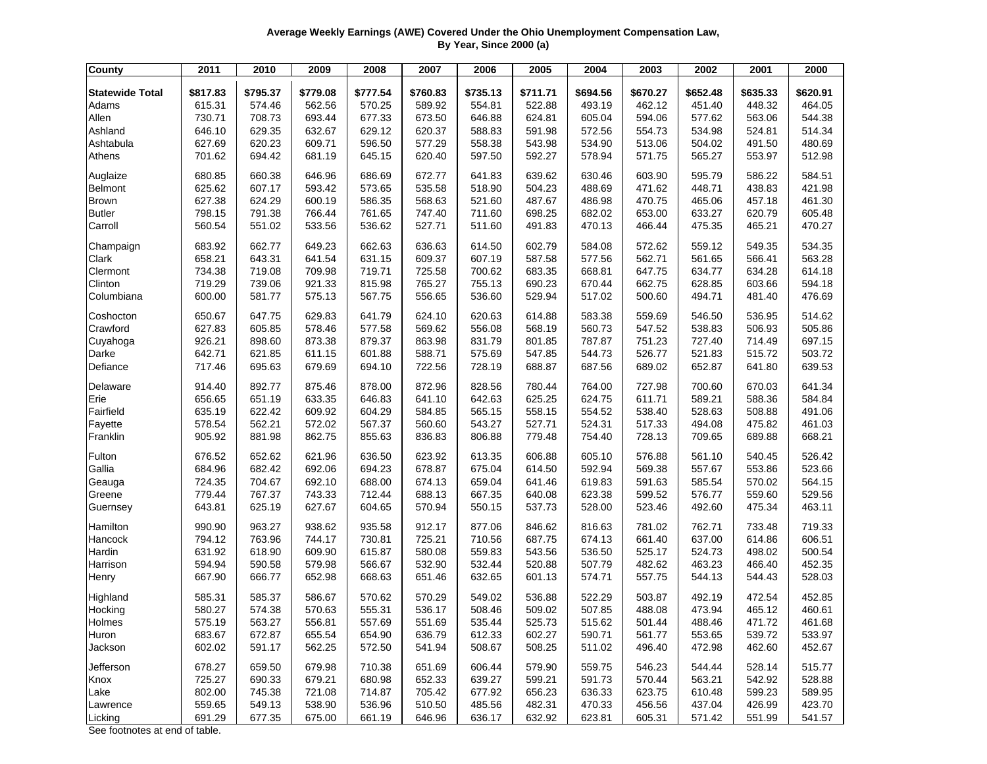## **Average Weekly Earnings (AWE) Covered Under the Ohio Unemployment Compensation Law, By Year, Since 2000 (a)**

| \$817.83<br>\$795.37<br>\$779.08<br>\$777.54<br>\$760.83<br>\$735.13<br>\$694.56<br>\$670.27<br>\$652.48<br>\$635.33<br>\$620.91<br><b>Statewide Total</b><br>\$711.71<br>464.05<br>615.31<br>574.46<br>562.56<br>570.25<br>589.92<br>554.81<br>522.88<br>493.19<br>462.12<br>451.40<br>448.32<br>Adams<br>Allen<br>730.71<br>708.73<br>693.44<br>677.33<br>673.50<br>646.88<br>624.81<br>605.04<br>594.06<br>563.06<br>544.38<br>577.62<br>Ashland<br>646.10<br>629.35<br>632.67<br>629.12<br>588.83<br>534.98<br>514.34<br>620.37<br>591.98<br>572.56<br>554.73<br>524.81<br>Ashtabula<br>627.69<br>620.23<br>609.71<br>596.50<br>577.29<br>558.38<br>543.98<br>534.90<br>513.06<br>504.02<br>491.50<br>480.69<br>597.50<br>578.94<br>512.98<br>Athens<br>701.62<br>694.42<br>681.19<br>645.15<br>620.40<br>592.27<br>571.75<br>565.27<br>553.97<br>584.51<br>Auglaize<br>680.85<br>660.38<br>646.96<br>686.69<br>672.77<br>641.83<br>639.62<br>630.46<br>603.90<br>595.79<br>586.22<br>448.71<br>421.98<br>Belmont<br>625.62<br>607.17<br>593.42<br>573.65<br>535.58<br>518.90<br>504.23<br>488.69<br>471.62<br>438.83<br>627.38<br>600.19<br>586.35<br>521.60<br>487.67<br>486.98<br>470.75<br>461.30<br><b>Brown</b><br>624.29<br>568.63<br>465.06<br>457.18<br><b>Butler</b><br>798.15<br>791.38<br>766.44<br>761.65<br>747.40<br>711.60<br>698.25<br>682.02<br>653.00<br>633.27<br>620.79<br>605.48<br>Carroll<br>560.54<br>551.02<br>533.56<br>536.62<br>527.71<br>511.60<br>491.83<br>470.13<br>466.44<br>465.21<br>470.27<br>475.35<br>534.35<br>683.92<br>662.77<br>649.23<br>662.63<br>636.63<br>614.50<br>602.79<br>584.08<br>572.62<br>559.12<br>549.35<br>Champaign<br>563.28<br>Clark<br>658.21<br>643.31<br>641.54<br>631.15<br>609.37<br>607.19<br>587.58<br>577.56<br>562.71<br>561.65<br>566.41<br>Clermont<br>734.38<br>719.08<br>709.98<br>719.71<br>725.58<br>700.62<br>683.35<br>668.81<br>647.75<br>634.77<br>634.28<br>614.18<br>719.29<br>739.06<br>815.98<br>755.13<br>690.23<br>628.85<br>603.66<br>594.18<br>Clinton<br>921.33<br>765.27<br>670.44<br>662.75<br>Columbiana<br>600.00<br>581.77<br>575.13<br>567.75<br>556.65<br>536.60<br>529.94<br>517.02<br>500.60<br>494.71<br>476.69<br>481.40<br>Coshocton<br>650.67<br>647.75<br>629.83<br>641.79<br>624.10<br>620.63<br>614.88<br>583.38<br>559.69<br>546.50<br>536.95<br>514.62<br>Crawford<br>627.83<br>605.85<br>578.46<br>577.58<br>569.62<br>556.08<br>568.19<br>560.73<br>547.52<br>538.83<br>506.93<br>505.86<br>697.15<br>Cuyahoga<br>926.21<br>898.60<br>873.38<br>879.37<br>863.98<br>831.79<br>801.85<br>787.87<br>727.40<br>714.49<br>751.23<br>Darke<br>642.71<br>621.85<br>601.88<br>588.71<br>575.69<br>544.73<br>526.77<br>503.72<br>611.15<br>547.85<br>521.83<br>515.72<br>717.46<br>679.69<br>694.10<br>728.19<br>688.87<br>687.56<br>652.87<br>639.53<br>Defiance<br>695.63<br>722.56<br>689.02<br>641.80<br>641.34<br>914.40<br>892.77<br>875.46<br>878.00<br>872.96<br>828.56<br>780.44<br>764.00<br>727.98<br>700.60<br>670.03<br>Delaware<br>Erie<br>656.65<br>651.19<br>633.35<br>641.10<br>642.63<br>625.25<br>624.75<br>589.21<br>588.36<br>584.84<br>646.83<br>611.71<br>Fairfield<br>565.15<br>491.06<br>635.19<br>622.42<br>609.92<br>604.29<br>584.85<br>558.15<br>554.52<br>538.40<br>528.63<br>508.88<br>494.08<br>461.03<br>Fayette<br>578.54<br>562.21<br>572.02<br>567.37<br>560.60<br>543.27<br>527.71<br>524.31<br>517.33<br>475.82<br>Franklin<br>905.92<br>881.98<br>862.75<br>855.63<br>836.83<br>806.88<br>779.48<br>754.40<br>728.13<br>709.65<br>689.88<br>668.21<br>526.42<br>Fulton<br>676.52<br>652.62<br>621.96<br>636.50<br>623.92<br>613.35<br>606.88<br>605.10<br>576.88<br>561.10<br>540.45<br>675.04<br>523.66<br>Gallia<br>684.96<br>682.42<br>692.06<br>694.23<br>678.87<br>614.50<br>592.94<br>569.38<br>557.67<br>553.86<br>724.35<br>692.10<br>688.00<br>659.04<br>619.83<br>591.63<br>564.15<br>Geauga<br>704.67<br>674.13<br>641.46<br>585.54<br>570.02<br>667.35<br>Greene<br>779.44<br>767.37<br>743.33<br>712.44<br>688.13<br>640.08<br>623.38<br>599.52<br>576.77<br>559.60<br>529.56<br>643.81<br>625.19<br>627.67<br>604.65<br>570.94<br>550.15<br>537.73<br>528.00<br>523.46<br>492.60<br>475.34<br>463.11<br>Guernsey<br>Hamilton<br>963.27<br>938.62<br>935.58<br>912.17<br>877.06<br>846.62<br>781.02<br>762.71<br>719.33<br>990.90<br>816.63<br>733.48<br>Hancock<br>794.12<br>763.96<br>744.17<br>730.81<br>725.21<br>710.56<br>687.75<br>674.13<br>637.00<br>614.86<br>606.51<br>661.40<br>Hardin<br>631.92<br>618.90<br>609.90<br>615.87<br>580.08<br>559.83<br>543.56<br>536.50<br>525.17<br>524.73<br>498.02<br>500.54<br>594.94<br>579.98<br>566.67<br>532.90<br>532.44<br>520.88<br>507.79<br>482.62<br>463.23<br>466.40<br>452.35<br>Harrison<br>590.58<br>667.90<br>666.77<br>652.98<br>668.63<br>651.46<br>632.65<br>601.13<br>574.71<br>557.75<br>544.13<br>544.43<br>528.03<br>Henry<br>452.85<br>Highland<br>585.31<br>585.37<br>586.67<br>570.62<br>570.29<br>549.02<br>536.88<br>522.29<br>503.87<br>492.19<br>472.54<br>Hocking<br>555.31<br>508.46<br>509.02<br>488.08<br>473.94<br>460.61<br>580.27<br>574.38<br>570.63<br>536.17<br>507.85<br>465.12<br>575.19<br>563.27<br>556.81<br>551.69<br>535.44<br>525.73<br>501.44<br>488.46<br>471.72<br>461.68<br>557.69<br>515.62<br>Holmes<br>683.67<br>672.87<br>655.54<br>654.90<br>636.79<br>612.33<br>602.27<br>590.71<br>561.77<br>553.65<br>539.72<br>533.97<br>Huron<br>602.02<br>562.25<br>508.25<br>472.98<br>462.60<br>452.67<br>Jackson<br>591.17<br>572.50<br>541.94<br>508.67<br>511.02<br>496.40<br>Jefferson<br>678.27<br>659.50<br>679.98<br>710.38<br>651.69<br>606.44<br>579.90<br>559.75<br>546.23<br>544.44<br>528.14<br>515.77<br>Knox<br>725.27<br>690.33<br>679.21<br>680.98<br>652.33<br>639.27<br>599.21<br>591.73<br>570.44<br>563.21<br>542.92<br>528.88<br>802.00<br>745.38<br>721.08<br>677.92<br>656.23<br>623.75<br>589.95<br>714.87<br>705.42<br>636.33<br>610.48<br>599.23<br>Lake | <b>County</b> | 2011   | 2010   | 2009   | 2008   | 2007   | 2006   | 2005   | 2004   | 2003   | 2002   | 2001   | 2000   |
|------------------------------------------------------------------------------------------------------------------------------------------------------------------------------------------------------------------------------------------------------------------------------------------------------------------------------------------------------------------------------------------------------------------------------------------------------------------------------------------------------------------------------------------------------------------------------------------------------------------------------------------------------------------------------------------------------------------------------------------------------------------------------------------------------------------------------------------------------------------------------------------------------------------------------------------------------------------------------------------------------------------------------------------------------------------------------------------------------------------------------------------------------------------------------------------------------------------------------------------------------------------------------------------------------------------------------------------------------------------------------------------------------------------------------------------------------------------------------------------------------------------------------------------------------------------------------------------------------------------------------------------------------------------------------------------------------------------------------------------------------------------------------------------------------------------------------------------------------------------------------------------------------------------------------------------------------------------------------------------------------------------------------------------------------------------------------------------------------------------------------------------------------------------------------------------------------------------------------------------------------------------------------------------------------------------------------------------------------------------------------------------------------------------------------------------------------------------------------------------------------------------------------------------------------------------------------------------------------------------------------------------------------------------------------------------------------------------------------------------------------------------------------------------------------------------------------------------------------------------------------------------------------------------------------------------------------------------------------------------------------------------------------------------------------------------------------------------------------------------------------------------------------------------------------------------------------------------------------------------------------------------------------------------------------------------------------------------------------------------------------------------------------------------------------------------------------------------------------------------------------------------------------------------------------------------------------------------------------------------------------------------------------------------------------------------------------------------------------------------------------------------------------------------------------------------------------------------------------------------------------------------------------------------------------------------------------------------------------------------------------------------------------------------------------------------------------------------------------------------------------------------------------------------------------------------------------------------------------------------------------------------------------------------------------------------------------------------------------------------------------------------------------------------------------------------------------------------------------------------------------------------------------------------------------------------------------------------------------------------------------------------------------------------------------------------------------------------------------------------------------------------------------------------------------------------------------------------------------------------------------------------------------------------------------------------------------------------------------------------------------------------------------------------------------------------------------------------------------------------------------------------------------------------------------------------------------------------------------------------------------------------------------------------------------------------------------------------------------------------------------------------------------------------------------------------------------------------------------------------------------------------------------------------------------------------------------------------------------------------------------------------------------------------------------------------------------------------------------------------------------------------------------------------------------------------------------------------------------------------------------------------------------------------------------------------------------------------------------------------------------------------------------------------------|---------------|--------|--------|--------|--------|--------|--------|--------|--------|--------|--------|--------|--------|
|                                                                                                                                                                                                                                                                                                                                                                                                                                                                                                                                                                                                                                                                                                                                                                                                                                                                                                                                                                                                                                                                                                                                                                                                                                                                                                                                                                                                                                                                                                                                                                                                                                                                                                                                                                                                                                                                                                                                                                                                                                                                                                                                                                                                                                                                                                                                                                                                                                                                                                                                                                                                                                                                                                                                                                                                                                                                                                                                                                                                                                                                                                                                                                                                                                                                                                                                                                                                                                                                                                                                                                                                                                                                                                                                                                                                                                                                                                                                                                                                                                                                                                                                                                                                                                                                                                                                                                                                                                                                                                                                                                                                                                                                                                                                                                                                                                                                                                                                                                                                                                                                                                                                                                                                                                                                                                                                                                                                                                                                                                                                                                                                                                                                                                                                                                                                                                                                                                                                                                                                                                                |               |        |        |        |        |        |        |        |        |        |        |        |        |
|                                                                                                                                                                                                                                                                                                                                                                                                                                                                                                                                                                                                                                                                                                                                                                                                                                                                                                                                                                                                                                                                                                                                                                                                                                                                                                                                                                                                                                                                                                                                                                                                                                                                                                                                                                                                                                                                                                                                                                                                                                                                                                                                                                                                                                                                                                                                                                                                                                                                                                                                                                                                                                                                                                                                                                                                                                                                                                                                                                                                                                                                                                                                                                                                                                                                                                                                                                                                                                                                                                                                                                                                                                                                                                                                                                                                                                                                                                                                                                                                                                                                                                                                                                                                                                                                                                                                                                                                                                                                                                                                                                                                                                                                                                                                                                                                                                                                                                                                                                                                                                                                                                                                                                                                                                                                                                                                                                                                                                                                                                                                                                                                                                                                                                                                                                                                                                                                                                                                                                                                                                                |               |        |        |        |        |        |        |        |        |        |        |        |        |
|                                                                                                                                                                                                                                                                                                                                                                                                                                                                                                                                                                                                                                                                                                                                                                                                                                                                                                                                                                                                                                                                                                                                                                                                                                                                                                                                                                                                                                                                                                                                                                                                                                                                                                                                                                                                                                                                                                                                                                                                                                                                                                                                                                                                                                                                                                                                                                                                                                                                                                                                                                                                                                                                                                                                                                                                                                                                                                                                                                                                                                                                                                                                                                                                                                                                                                                                                                                                                                                                                                                                                                                                                                                                                                                                                                                                                                                                                                                                                                                                                                                                                                                                                                                                                                                                                                                                                                                                                                                                                                                                                                                                                                                                                                                                                                                                                                                                                                                                                                                                                                                                                                                                                                                                                                                                                                                                                                                                                                                                                                                                                                                                                                                                                                                                                                                                                                                                                                                                                                                                                                                |               |        |        |        |        |        |        |        |        |        |        |        |        |
|                                                                                                                                                                                                                                                                                                                                                                                                                                                                                                                                                                                                                                                                                                                                                                                                                                                                                                                                                                                                                                                                                                                                                                                                                                                                                                                                                                                                                                                                                                                                                                                                                                                                                                                                                                                                                                                                                                                                                                                                                                                                                                                                                                                                                                                                                                                                                                                                                                                                                                                                                                                                                                                                                                                                                                                                                                                                                                                                                                                                                                                                                                                                                                                                                                                                                                                                                                                                                                                                                                                                                                                                                                                                                                                                                                                                                                                                                                                                                                                                                                                                                                                                                                                                                                                                                                                                                                                                                                                                                                                                                                                                                                                                                                                                                                                                                                                                                                                                                                                                                                                                                                                                                                                                                                                                                                                                                                                                                                                                                                                                                                                                                                                                                                                                                                                                                                                                                                                                                                                                                                                |               |        |        |        |        |        |        |        |        |        |        |        |        |
|                                                                                                                                                                                                                                                                                                                                                                                                                                                                                                                                                                                                                                                                                                                                                                                                                                                                                                                                                                                                                                                                                                                                                                                                                                                                                                                                                                                                                                                                                                                                                                                                                                                                                                                                                                                                                                                                                                                                                                                                                                                                                                                                                                                                                                                                                                                                                                                                                                                                                                                                                                                                                                                                                                                                                                                                                                                                                                                                                                                                                                                                                                                                                                                                                                                                                                                                                                                                                                                                                                                                                                                                                                                                                                                                                                                                                                                                                                                                                                                                                                                                                                                                                                                                                                                                                                                                                                                                                                                                                                                                                                                                                                                                                                                                                                                                                                                                                                                                                                                                                                                                                                                                                                                                                                                                                                                                                                                                                                                                                                                                                                                                                                                                                                                                                                                                                                                                                                                                                                                                                                                |               |        |        |        |        |        |        |        |        |        |        |        |        |
|                                                                                                                                                                                                                                                                                                                                                                                                                                                                                                                                                                                                                                                                                                                                                                                                                                                                                                                                                                                                                                                                                                                                                                                                                                                                                                                                                                                                                                                                                                                                                                                                                                                                                                                                                                                                                                                                                                                                                                                                                                                                                                                                                                                                                                                                                                                                                                                                                                                                                                                                                                                                                                                                                                                                                                                                                                                                                                                                                                                                                                                                                                                                                                                                                                                                                                                                                                                                                                                                                                                                                                                                                                                                                                                                                                                                                                                                                                                                                                                                                                                                                                                                                                                                                                                                                                                                                                                                                                                                                                                                                                                                                                                                                                                                                                                                                                                                                                                                                                                                                                                                                                                                                                                                                                                                                                                                                                                                                                                                                                                                                                                                                                                                                                                                                                                                                                                                                                                                                                                                                                                |               |        |        |        |        |        |        |        |        |        |        |        |        |
|                                                                                                                                                                                                                                                                                                                                                                                                                                                                                                                                                                                                                                                                                                                                                                                                                                                                                                                                                                                                                                                                                                                                                                                                                                                                                                                                                                                                                                                                                                                                                                                                                                                                                                                                                                                                                                                                                                                                                                                                                                                                                                                                                                                                                                                                                                                                                                                                                                                                                                                                                                                                                                                                                                                                                                                                                                                                                                                                                                                                                                                                                                                                                                                                                                                                                                                                                                                                                                                                                                                                                                                                                                                                                                                                                                                                                                                                                                                                                                                                                                                                                                                                                                                                                                                                                                                                                                                                                                                                                                                                                                                                                                                                                                                                                                                                                                                                                                                                                                                                                                                                                                                                                                                                                                                                                                                                                                                                                                                                                                                                                                                                                                                                                                                                                                                                                                                                                                                                                                                                                                                |               |        |        |        |        |        |        |        |        |        |        |        |        |
|                                                                                                                                                                                                                                                                                                                                                                                                                                                                                                                                                                                                                                                                                                                                                                                                                                                                                                                                                                                                                                                                                                                                                                                                                                                                                                                                                                                                                                                                                                                                                                                                                                                                                                                                                                                                                                                                                                                                                                                                                                                                                                                                                                                                                                                                                                                                                                                                                                                                                                                                                                                                                                                                                                                                                                                                                                                                                                                                                                                                                                                                                                                                                                                                                                                                                                                                                                                                                                                                                                                                                                                                                                                                                                                                                                                                                                                                                                                                                                                                                                                                                                                                                                                                                                                                                                                                                                                                                                                                                                                                                                                                                                                                                                                                                                                                                                                                                                                                                                                                                                                                                                                                                                                                                                                                                                                                                                                                                                                                                                                                                                                                                                                                                                                                                                                                                                                                                                                                                                                                                                                |               |        |        |        |        |        |        |        |        |        |        |        |        |
|                                                                                                                                                                                                                                                                                                                                                                                                                                                                                                                                                                                                                                                                                                                                                                                                                                                                                                                                                                                                                                                                                                                                                                                                                                                                                                                                                                                                                                                                                                                                                                                                                                                                                                                                                                                                                                                                                                                                                                                                                                                                                                                                                                                                                                                                                                                                                                                                                                                                                                                                                                                                                                                                                                                                                                                                                                                                                                                                                                                                                                                                                                                                                                                                                                                                                                                                                                                                                                                                                                                                                                                                                                                                                                                                                                                                                                                                                                                                                                                                                                                                                                                                                                                                                                                                                                                                                                                                                                                                                                                                                                                                                                                                                                                                                                                                                                                                                                                                                                                                                                                                                                                                                                                                                                                                                                                                                                                                                                                                                                                                                                                                                                                                                                                                                                                                                                                                                                                                                                                                                                                |               |        |        |        |        |        |        |        |        |        |        |        |        |
|                                                                                                                                                                                                                                                                                                                                                                                                                                                                                                                                                                                                                                                                                                                                                                                                                                                                                                                                                                                                                                                                                                                                                                                                                                                                                                                                                                                                                                                                                                                                                                                                                                                                                                                                                                                                                                                                                                                                                                                                                                                                                                                                                                                                                                                                                                                                                                                                                                                                                                                                                                                                                                                                                                                                                                                                                                                                                                                                                                                                                                                                                                                                                                                                                                                                                                                                                                                                                                                                                                                                                                                                                                                                                                                                                                                                                                                                                                                                                                                                                                                                                                                                                                                                                                                                                                                                                                                                                                                                                                                                                                                                                                                                                                                                                                                                                                                                                                                                                                                                                                                                                                                                                                                                                                                                                                                                                                                                                                                                                                                                                                                                                                                                                                                                                                                                                                                                                                                                                                                                                                                |               |        |        |        |        |        |        |        |        |        |        |        |        |
|                                                                                                                                                                                                                                                                                                                                                                                                                                                                                                                                                                                                                                                                                                                                                                                                                                                                                                                                                                                                                                                                                                                                                                                                                                                                                                                                                                                                                                                                                                                                                                                                                                                                                                                                                                                                                                                                                                                                                                                                                                                                                                                                                                                                                                                                                                                                                                                                                                                                                                                                                                                                                                                                                                                                                                                                                                                                                                                                                                                                                                                                                                                                                                                                                                                                                                                                                                                                                                                                                                                                                                                                                                                                                                                                                                                                                                                                                                                                                                                                                                                                                                                                                                                                                                                                                                                                                                                                                                                                                                                                                                                                                                                                                                                                                                                                                                                                                                                                                                                                                                                                                                                                                                                                                                                                                                                                                                                                                                                                                                                                                                                                                                                                                                                                                                                                                                                                                                                                                                                                                                                |               |        |        |        |        |        |        |        |        |        |        |        |        |
|                                                                                                                                                                                                                                                                                                                                                                                                                                                                                                                                                                                                                                                                                                                                                                                                                                                                                                                                                                                                                                                                                                                                                                                                                                                                                                                                                                                                                                                                                                                                                                                                                                                                                                                                                                                                                                                                                                                                                                                                                                                                                                                                                                                                                                                                                                                                                                                                                                                                                                                                                                                                                                                                                                                                                                                                                                                                                                                                                                                                                                                                                                                                                                                                                                                                                                                                                                                                                                                                                                                                                                                                                                                                                                                                                                                                                                                                                                                                                                                                                                                                                                                                                                                                                                                                                                                                                                                                                                                                                                                                                                                                                                                                                                                                                                                                                                                                                                                                                                                                                                                                                                                                                                                                                                                                                                                                                                                                                                                                                                                                                                                                                                                                                                                                                                                                                                                                                                                                                                                                                                                |               |        |        |        |        |        |        |        |        |        |        |        |        |
|                                                                                                                                                                                                                                                                                                                                                                                                                                                                                                                                                                                                                                                                                                                                                                                                                                                                                                                                                                                                                                                                                                                                                                                                                                                                                                                                                                                                                                                                                                                                                                                                                                                                                                                                                                                                                                                                                                                                                                                                                                                                                                                                                                                                                                                                                                                                                                                                                                                                                                                                                                                                                                                                                                                                                                                                                                                                                                                                                                                                                                                                                                                                                                                                                                                                                                                                                                                                                                                                                                                                                                                                                                                                                                                                                                                                                                                                                                                                                                                                                                                                                                                                                                                                                                                                                                                                                                                                                                                                                                                                                                                                                                                                                                                                                                                                                                                                                                                                                                                                                                                                                                                                                                                                                                                                                                                                                                                                                                                                                                                                                                                                                                                                                                                                                                                                                                                                                                                                                                                                                                                |               |        |        |        |        |        |        |        |        |        |        |        |        |
|                                                                                                                                                                                                                                                                                                                                                                                                                                                                                                                                                                                                                                                                                                                                                                                                                                                                                                                                                                                                                                                                                                                                                                                                                                                                                                                                                                                                                                                                                                                                                                                                                                                                                                                                                                                                                                                                                                                                                                                                                                                                                                                                                                                                                                                                                                                                                                                                                                                                                                                                                                                                                                                                                                                                                                                                                                                                                                                                                                                                                                                                                                                                                                                                                                                                                                                                                                                                                                                                                                                                                                                                                                                                                                                                                                                                                                                                                                                                                                                                                                                                                                                                                                                                                                                                                                                                                                                                                                                                                                                                                                                                                                                                                                                                                                                                                                                                                                                                                                                                                                                                                                                                                                                                                                                                                                                                                                                                                                                                                                                                                                                                                                                                                                                                                                                                                                                                                                                                                                                                                                                |               |        |        |        |        |        |        |        |        |        |        |        |        |
|                                                                                                                                                                                                                                                                                                                                                                                                                                                                                                                                                                                                                                                                                                                                                                                                                                                                                                                                                                                                                                                                                                                                                                                                                                                                                                                                                                                                                                                                                                                                                                                                                                                                                                                                                                                                                                                                                                                                                                                                                                                                                                                                                                                                                                                                                                                                                                                                                                                                                                                                                                                                                                                                                                                                                                                                                                                                                                                                                                                                                                                                                                                                                                                                                                                                                                                                                                                                                                                                                                                                                                                                                                                                                                                                                                                                                                                                                                                                                                                                                                                                                                                                                                                                                                                                                                                                                                                                                                                                                                                                                                                                                                                                                                                                                                                                                                                                                                                                                                                                                                                                                                                                                                                                                                                                                                                                                                                                                                                                                                                                                                                                                                                                                                                                                                                                                                                                                                                                                                                                                                                |               |        |        |        |        |        |        |        |        |        |        |        |        |
|                                                                                                                                                                                                                                                                                                                                                                                                                                                                                                                                                                                                                                                                                                                                                                                                                                                                                                                                                                                                                                                                                                                                                                                                                                                                                                                                                                                                                                                                                                                                                                                                                                                                                                                                                                                                                                                                                                                                                                                                                                                                                                                                                                                                                                                                                                                                                                                                                                                                                                                                                                                                                                                                                                                                                                                                                                                                                                                                                                                                                                                                                                                                                                                                                                                                                                                                                                                                                                                                                                                                                                                                                                                                                                                                                                                                                                                                                                                                                                                                                                                                                                                                                                                                                                                                                                                                                                                                                                                                                                                                                                                                                                                                                                                                                                                                                                                                                                                                                                                                                                                                                                                                                                                                                                                                                                                                                                                                                                                                                                                                                                                                                                                                                                                                                                                                                                                                                                                                                                                                                                                |               |        |        |        |        |        |        |        |        |        |        |        |        |
|                                                                                                                                                                                                                                                                                                                                                                                                                                                                                                                                                                                                                                                                                                                                                                                                                                                                                                                                                                                                                                                                                                                                                                                                                                                                                                                                                                                                                                                                                                                                                                                                                                                                                                                                                                                                                                                                                                                                                                                                                                                                                                                                                                                                                                                                                                                                                                                                                                                                                                                                                                                                                                                                                                                                                                                                                                                                                                                                                                                                                                                                                                                                                                                                                                                                                                                                                                                                                                                                                                                                                                                                                                                                                                                                                                                                                                                                                                                                                                                                                                                                                                                                                                                                                                                                                                                                                                                                                                                                                                                                                                                                                                                                                                                                                                                                                                                                                                                                                                                                                                                                                                                                                                                                                                                                                                                                                                                                                                                                                                                                                                                                                                                                                                                                                                                                                                                                                                                                                                                                                                                |               |        |        |        |        |        |        |        |        |        |        |        |        |
|                                                                                                                                                                                                                                                                                                                                                                                                                                                                                                                                                                                                                                                                                                                                                                                                                                                                                                                                                                                                                                                                                                                                                                                                                                                                                                                                                                                                                                                                                                                                                                                                                                                                                                                                                                                                                                                                                                                                                                                                                                                                                                                                                                                                                                                                                                                                                                                                                                                                                                                                                                                                                                                                                                                                                                                                                                                                                                                                                                                                                                                                                                                                                                                                                                                                                                                                                                                                                                                                                                                                                                                                                                                                                                                                                                                                                                                                                                                                                                                                                                                                                                                                                                                                                                                                                                                                                                                                                                                                                                                                                                                                                                                                                                                                                                                                                                                                                                                                                                                                                                                                                                                                                                                                                                                                                                                                                                                                                                                                                                                                                                                                                                                                                                                                                                                                                                                                                                                                                                                                                                                |               |        |        |        |        |        |        |        |        |        |        |        |        |
|                                                                                                                                                                                                                                                                                                                                                                                                                                                                                                                                                                                                                                                                                                                                                                                                                                                                                                                                                                                                                                                                                                                                                                                                                                                                                                                                                                                                                                                                                                                                                                                                                                                                                                                                                                                                                                                                                                                                                                                                                                                                                                                                                                                                                                                                                                                                                                                                                                                                                                                                                                                                                                                                                                                                                                                                                                                                                                                                                                                                                                                                                                                                                                                                                                                                                                                                                                                                                                                                                                                                                                                                                                                                                                                                                                                                                                                                                                                                                                                                                                                                                                                                                                                                                                                                                                                                                                                                                                                                                                                                                                                                                                                                                                                                                                                                                                                                                                                                                                                                                                                                                                                                                                                                                                                                                                                                                                                                                                                                                                                                                                                                                                                                                                                                                                                                                                                                                                                                                                                                                                                |               |        |        |        |        |        |        |        |        |        |        |        |        |
|                                                                                                                                                                                                                                                                                                                                                                                                                                                                                                                                                                                                                                                                                                                                                                                                                                                                                                                                                                                                                                                                                                                                                                                                                                                                                                                                                                                                                                                                                                                                                                                                                                                                                                                                                                                                                                                                                                                                                                                                                                                                                                                                                                                                                                                                                                                                                                                                                                                                                                                                                                                                                                                                                                                                                                                                                                                                                                                                                                                                                                                                                                                                                                                                                                                                                                                                                                                                                                                                                                                                                                                                                                                                                                                                                                                                                                                                                                                                                                                                                                                                                                                                                                                                                                                                                                                                                                                                                                                                                                                                                                                                                                                                                                                                                                                                                                                                                                                                                                                                                                                                                                                                                                                                                                                                                                                                                                                                                                                                                                                                                                                                                                                                                                                                                                                                                                                                                                                                                                                                                                                |               |        |        |        |        |        |        |        |        |        |        |        |        |
|                                                                                                                                                                                                                                                                                                                                                                                                                                                                                                                                                                                                                                                                                                                                                                                                                                                                                                                                                                                                                                                                                                                                                                                                                                                                                                                                                                                                                                                                                                                                                                                                                                                                                                                                                                                                                                                                                                                                                                                                                                                                                                                                                                                                                                                                                                                                                                                                                                                                                                                                                                                                                                                                                                                                                                                                                                                                                                                                                                                                                                                                                                                                                                                                                                                                                                                                                                                                                                                                                                                                                                                                                                                                                                                                                                                                                                                                                                                                                                                                                                                                                                                                                                                                                                                                                                                                                                                                                                                                                                                                                                                                                                                                                                                                                                                                                                                                                                                                                                                                                                                                                                                                                                                                                                                                                                                                                                                                                                                                                                                                                                                                                                                                                                                                                                                                                                                                                                                                                                                                                                                |               |        |        |        |        |        |        |        |        |        |        |        |        |
|                                                                                                                                                                                                                                                                                                                                                                                                                                                                                                                                                                                                                                                                                                                                                                                                                                                                                                                                                                                                                                                                                                                                                                                                                                                                                                                                                                                                                                                                                                                                                                                                                                                                                                                                                                                                                                                                                                                                                                                                                                                                                                                                                                                                                                                                                                                                                                                                                                                                                                                                                                                                                                                                                                                                                                                                                                                                                                                                                                                                                                                                                                                                                                                                                                                                                                                                                                                                                                                                                                                                                                                                                                                                                                                                                                                                                                                                                                                                                                                                                                                                                                                                                                                                                                                                                                                                                                                                                                                                                                                                                                                                                                                                                                                                                                                                                                                                                                                                                                                                                                                                                                                                                                                                                                                                                                                                                                                                                                                                                                                                                                                                                                                                                                                                                                                                                                                                                                                                                                                                                                                |               |        |        |        |        |        |        |        |        |        |        |        |        |
|                                                                                                                                                                                                                                                                                                                                                                                                                                                                                                                                                                                                                                                                                                                                                                                                                                                                                                                                                                                                                                                                                                                                                                                                                                                                                                                                                                                                                                                                                                                                                                                                                                                                                                                                                                                                                                                                                                                                                                                                                                                                                                                                                                                                                                                                                                                                                                                                                                                                                                                                                                                                                                                                                                                                                                                                                                                                                                                                                                                                                                                                                                                                                                                                                                                                                                                                                                                                                                                                                                                                                                                                                                                                                                                                                                                                                                                                                                                                                                                                                                                                                                                                                                                                                                                                                                                                                                                                                                                                                                                                                                                                                                                                                                                                                                                                                                                                                                                                                                                                                                                                                                                                                                                                                                                                                                                                                                                                                                                                                                                                                                                                                                                                                                                                                                                                                                                                                                                                                                                                                                                |               |        |        |        |        |        |        |        |        |        |        |        |        |
|                                                                                                                                                                                                                                                                                                                                                                                                                                                                                                                                                                                                                                                                                                                                                                                                                                                                                                                                                                                                                                                                                                                                                                                                                                                                                                                                                                                                                                                                                                                                                                                                                                                                                                                                                                                                                                                                                                                                                                                                                                                                                                                                                                                                                                                                                                                                                                                                                                                                                                                                                                                                                                                                                                                                                                                                                                                                                                                                                                                                                                                                                                                                                                                                                                                                                                                                                                                                                                                                                                                                                                                                                                                                                                                                                                                                                                                                                                                                                                                                                                                                                                                                                                                                                                                                                                                                                                                                                                                                                                                                                                                                                                                                                                                                                                                                                                                                                                                                                                                                                                                                                                                                                                                                                                                                                                                                                                                                                                                                                                                                                                                                                                                                                                                                                                                                                                                                                                                                                                                                                                                |               |        |        |        |        |        |        |        |        |        |        |        |        |
|                                                                                                                                                                                                                                                                                                                                                                                                                                                                                                                                                                                                                                                                                                                                                                                                                                                                                                                                                                                                                                                                                                                                                                                                                                                                                                                                                                                                                                                                                                                                                                                                                                                                                                                                                                                                                                                                                                                                                                                                                                                                                                                                                                                                                                                                                                                                                                                                                                                                                                                                                                                                                                                                                                                                                                                                                                                                                                                                                                                                                                                                                                                                                                                                                                                                                                                                                                                                                                                                                                                                                                                                                                                                                                                                                                                                                                                                                                                                                                                                                                                                                                                                                                                                                                                                                                                                                                                                                                                                                                                                                                                                                                                                                                                                                                                                                                                                                                                                                                                                                                                                                                                                                                                                                                                                                                                                                                                                                                                                                                                                                                                                                                                                                                                                                                                                                                                                                                                                                                                                                                                |               |        |        |        |        |        |        |        |        |        |        |        |        |
|                                                                                                                                                                                                                                                                                                                                                                                                                                                                                                                                                                                                                                                                                                                                                                                                                                                                                                                                                                                                                                                                                                                                                                                                                                                                                                                                                                                                                                                                                                                                                                                                                                                                                                                                                                                                                                                                                                                                                                                                                                                                                                                                                                                                                                                                                                                                                                                                                                                                                                                                                                                                                                                                                                                                                                                                                                                                                                                                                                                                                                                                                                                                                                                                                                                                                                                                                                                                                                                                                                                                                                                                                                                                                                                                                                                                                                                                                                                                                                                                                                                                                                                                                                                                                                                                                                                                                                                                                                                                                                                                                                                                                                                                                                                                                                                                                                                                                                                                                                                                                                                                                                                                                                                                                                                                                                                                                                                                                                                                                                                                                                                                                                                                                                                                                                                                                                                                                                                                                                                                                                                |               |        |        |        |        |        |        |        |        |        |        |        |        |
|                                                                                                                                                                                                                                                                                                                                                                                                                                                                                                                                                                                                                                                                                                                                                                                                                                                                                                                                                                                                                                                                                                                                                                                                                                                                                                                                                                                                                                                                                                                                                                                                                                                                                                                                                                                                                                                                                                                                                                                                                                                                                                                                                                                                                                                                                                                                                                                                                                                                                                                                                                                                                                                                                                                                                                                                                                                                                                                                                                                                                                                                                                                                                                                                                                                                                                                                                                                                                                                                                                                                                                                                                                                                                                                                                                                                                                                                                                                                                                                                                                                                                                                                                                                                                                                                                                                                                                                                                                                                                                                                                                                                                                                                                                                                                                                                                                                                                                                                                                                                                                                                                                                                                                                                                                                                                                                                                                                                                                                                                                                                                                                                                                                                                                                                                                                                                                                                                                                                                                                                                                                |               |        |        |        |        |        |        |        |        |        |        |        |        |
|                                                                                                                                                                                                                                                                                                                                                                                                                                                                                                                                                                                                                                                                                                                                                                                                                                                                                                                                                                                                                                                                                                                                                                                                                                                                                                                                                                                                                                                                                                                                                                                                                                                                                                                                                                                                                                                                                                                                                                                                                                                                                                                                                                                                                                                                                                                                                                                                                                                                                                                                                                                                                                                                                                                                                                                                                                                                                                                                                                                                                                                                                                                                                                                                                                                                                                                                                                                                                                                                                                                                                                                                                                                                                                                                                                                                                                                                                                                                                                                                                                                                                                                                                                                                                                                                                                                                                                                                                                                                                                                                                                                                                                                                                                                                                                                                                                                                                                                                                                                                                                                                                                                                                                                                                                                                                                                                                                                                                                                                                                                                                                                                                                                                                                                                                                                                                                                                                                                                                                                                                                                |               |        |        |        |        |        |        |        |        |        |        |        |        |
|                                                                                                                                                                                                                                                                                                                                                                                                                                                                                                                                                                                                                                                                                                                                                                                                                                                                                                                                                                                                                                                                                                                                                                                                                                                                                                                                                                                                                                                                                                                                                                                                                                                                                                                                                                                                                                                                                                                                                                                                                                                                                                                                                                                                                                                                                                                                                                                                                                                                                                                                                                                                                                                                                                                                                                                                                                                                                                                                                                                                                                                                                                                                                                                                                                                                                                                                                                                                                                                                                                                                                                                                                                                                                                                                                                                                                                                                                                                                                                                                                                                                                                                                                                                                                                                                                                                                                                                                                                                                                                                                                                                                                                                                                                                                                                                                                                                                                                                                                                                                                                                                                                                                                                                                                                                                                                                                                                                                                                                                                                                                                                                                                                                                                                                                                                                                                                                                                                                                                                                                                                                |               |        |        |        |        |        |        |        |        |        |        |        |        |
|                                                                                                                                                                                                                                                                                                                                                                                                                                                                                                                                                                                                                                                                                                                                                                                                                                                                                                                                                                                                                                                                                                                                                                                                                                                                                                                                                                                                                                                                                                                                                                                                                                                                                                                                                                                                                                                                                                                                                                                                                                                                                                                                                                                                                                                                                                                                                                                                                                                                                                                                                                                                                                                                                                                                                                                                                                                                                                                                                                                                                                                                                                                                                                                                                                                                                                                                                                                                                                                                                                                                                                                                                                                                                                                                                                                                                                                                                                                                                                                                                                                                                                                                                                                                                                                                                                                                                                                                                                                                                                                                                                                                                                                                                                                                                                                                                                                                                                                                                                                                                                                                                                                                                                                                                                                                                                                                                                                                                                                                                                                                                                                                                                                                                                                                                                                                                                                                                                                                                                                                                                                |               |        |        |        |        |        |        |        |        |        |        |        |        |
|                                                                                                                                                                                                                                                                                                                                                                                                                                                                                                                                                                                                                                                                                                                                                                                                                                                                                                                                                                                                                                                                                                                                                                                                                                                                                                                                                                                                                                                                                                                                                                                                                                                                                                                                                                                                                                                                                                                                                                                                                                                                                                                                                                                                                                                                                                                                                                                                                                                                                                                                                                                                                                                                                                                                                                                                                                                                                                                                                                                                                                                                                                                                                                                                                                                                                                                                                                                                                                                                                                                                                                                                                                                                                                                                                                                                                                                                                                                                                                                                                                                                                                                                                                                                                                                                                                                                                                                                                                                                                                                                                                                                                                                                                                                                                                                                                                                                                                                                                                                                                                                                                                                                                                                                                                                                                                                                                                                                                                                                                                                                                                                                                                                                                                                                                                                                                                                                                                                                                                                                                                                |               |        |        |        |        |        |        |        |        |        |        |        |        |
|                                                                                                                                                                                                                                                                                                                                                                                                                                                                                                                                                                                                                                                                                                                                                                                                                                                                                                                                                                                                                                                                                                                                                                                                                                                                                                                                                                                                                                                                                                                                                                                                                                                                                                                                                                                                                                                                                                                                                                                                                                                                                                                                                                                                                                                                                                                                                                                                                                                                                                                                                                                                                                                                                                                                                                                                                                                                                                                                                                                                                                                                                                                                                                                                                                                                                                                                                                                                                                                                                                                                                                                                                                                                                                                                                                                                                                                                                                                                                                                                                                                                                                                                                                                                                                                                                                                                                                                                                                                                                                                                                                                                                                                                                                                                                                                                                                                                                                                                                                                                                                                                                                                                                                                                                                                                                                                                                                                                                                                                                                                                                                                                                                                                                                                                                                                                                                                                                                                                                                                                                                                |               |        |        |        |        |        |        |        |        |        |        |        |        |
|                                                                                                                                                                                                                                                                                                                                                                                                                                                                                                                                                                                                                                                                                                                                                                                                                                                                                                                                                                                                                                                                                                                                                                                                                                                                                                                                                                                                                                                                                                                                                                                                                                                                                                                                                                                                                                                                                                                                                                                                                                                                                                                                                                                                                                                                                                                                                                                                                                                                                                                                                                                                                                                                                                                                                                                                                                                                                                                                                                                                                                                                                                                                                                                                                                                                                                                                                                                                                                                                                                                                                                                                                                                                                                                                                                                                                                                                                                                                                                                                                                                                                                                                                                                                                                                                                                                                                                                                                                                                                                                                                                                                                                                                                                                                                                                                                                                                                                                                                                                                                                                                                                                                                                                                                                                                                                                                                                                                                                                                                                                                                                                                                                                                                                                                                                                                                                                                                                                                                                                                                                                |               |        |        |        |        |        |        |        |        |        |        |        |        |
|                                                                                                                                                                                                                                                                                                                                                                                                                                                                                                                                                                                                                                                                                                                                                                                                                                                                                                                                                                                                                                                                                                                                                                                                                                                                                                                                                                                                                                                                                                                                                                                                                                                                                                                                                                                                                                                                                                                                                                                                                                                                                                                                                                                                                                                                                                                                                                                                                                                                                                                                                                                                                                                                                                                                                                                                                                                                                                                                                                                                                                                                                                                                                                                                                                                                                                                                                                                                                                                                                                                                                                                                                                                                                                                                                                                                                                                                                                                                                                                                                                                                                                                                                                                                                                                                                                                                                                                                                                                                                                                                                                                                                                                                                                                                                                                                                                                                                                                                                                                                                                                                                                                                                                                                                                                                                                                                                                                                                                                                                                                                                                                                                                                                                                                                                                                                                                                                                                                                                                                                                                                |               |        |        |        |        |        |        |        |        |        |        |        |        |
|                                                                                                                                                                                                                                                                                                                                                                                                                                                                                                                                                                                                                                                                                                                                                                                                                                                                                                                                                                                                                                                                                                                                                                                                                                                                                                                                                                                                                                                                                                                                                                                                                                                                                                                                                                                                                                                                                                                                                                                                                                                                                                                                                                                                                                                                                                                                                                                                                                                                                                                                                                                                                                                                                                                                                                                                                                                                                                                                                                                                                                                                                                                                                                                                                                                                                                                                                                                                                                                                                                                                                                                                                                                                                                                                                                                                                                                                                                                                                                                                                                                                                                                                                                                                                                                                                                                                                                                                                                                                                                                                                                                                                                                                                                                                                                                                                                                                                                                                                                                                                                                                                                                                                                                                                                                                                                                                                                                                                                                                                                                                                                                                                                                                                                                                                                                                                                                                                                                                                                                                                                                |               |        |        |        |        |        |        |        |        |        |        |        |        |
|                                                                                                                                                                                                                                                                                                                                                                                                                                                                                                                                                                                                                                                                                                                                                                                                                                                                                                                                                                                                                                                                                                                                                                                                                                                                                                                                                                                                                                                                                                                                                                                                                                                                                                                                                                                                                                                                                                                                                                                                                                                                                                                                                                                                                                                                                                                                                                                                                                                                                                                                                                                                                                                                                                                                                                                                                                                                                                                                                                                                                                                                                                                                                                                                                                                                                                                                                                                                                                                                                                                                                                                                                                                                                                                                                                                                                                                                                                                                                                                                                                                                                                                                                                                                                                                                                                                                                                                                                                                                                                                                                                                                                                                                                                                                                                                                                                                                                                                                                                                                                                                                                                                                                                                                                                                                                                                                                                                                                                                                                                                                                                                                                                                                                                                                                                                                                                                                                                                                                                                                                                                |               |        |        |        |        |        |        |        |        |        |        |        |        |
|                                                                                                                                                                                                                                                                                                                                                                                                                                                                                                                                                                                                                                                                                                                                                                                                                                                                                                                                                                                                                                                                                                                                                                                                                                                                                                                                                                                                                                                                                                                                                                                                                                                                                                                                                                                                                                                                                                                                                                                                                                                                                                                                                                                                                                                                                                                                                                                                                                                                                                                                                                                                                                                                                                                                                                                                                                                                                                                                                                                                                                                                                                                                                                                                                                                                                                                                                                                                                                                                                                                                                                                                                                                                                                                                                                                                                                                                                                                                                                                                                                                                                                                                                                                                                                                                                                                                                                                                                                                                                                                                                                                                                                                                                                                                                                                                                                                                                                                                                                                                                                                                                                                                                                                                                                                                                                                                                                                                                                                                                                                                                                                                                                                                                                                                                                                                                                                                                                                                                                                                                                                |               |        |        |        |        |        |        |        |        |        |        |        |        |
|                                                                                                                                                                                                                                                                                                                                                                                                                                                                                                                                                                                                                                                                                                                                                                                                                                                                                                                                                                                                                                                                                                                                                                                                                                                                                                                                                                                                                                                                                                                                                                                                                                                                                                                                                                                                                                                                                                                                                                                                                                                                                                                                                                                                                                                                                                                                                                                                                                                                                                                                                                                                                                                                                                                                                                                                                                                                                                                                                                                                                                                                                                                                                                                                                                                                                                                                                                                                                                                                                                                                                                                                                                                                                                                                                                                                                                                                                                                                                                                                                                                                                                                                                                                                                                                                                                                                                                                                                                                                                                                                                                                                                                                                                                                                                                                                                                                                                                                                                                                                                                                                                                                                                                                                                                                                                                                                                                                                                                                                                                                                                                                                                                                                                                                                                                                                                                                                                                                                                                                                                                                |               |        |        |        |        |        |        |        |        |        |        |        |        |
|                                                                                                                                                                                                                                                                                                                                                                                                                                                                                                                                                                                                                                                                                                                                                                                                                                                                                                                                                                                                                                                                                                                                                                                                                                                                                                                                                                                                                                                                                                                                                                                                                                                                                                                                                                                                                                                                                                                                                                                                                                                                                                                                                                                                                                                                                                                                                                                                                                                                                                                                                                                                                                                                                                                                                                                                                                                                                                                                                                                                                                                                                                                                                                                                                                                                                                                                                                                                                                                                                                                                                                                                                                                                                                                                                                                                                                                                                                                                                                                                                                                                                                                                                                                                                                                                                                                                                                                                                                                                                                                                                                                                                                                                                                                                                                                                                                                                                                                                                                                                                                                                                                                                                                                                                                                                                                                                                                                                                                                                                                                                                                                                                                                                                                                                                                                                                                                                                                                                                                                                                                                |               |        |        |        |        |        |        |        |        |        |        |        |        |
|                                                                                                                                                                                                                                                                                                                                                                                                                                                                                                                                                                                                                                                                                                                                                                                                                                                                                                                                                                                                                                                                                                                                                                                                                                                                                                                                                                                                                                                                                                                                                                                                                                                                                                                                                                                                                                                                                                                                                                                                                                                                                                                                                                                                                                                                                                                                                                                                                                                                                                                                                                                                                                                                                                                                                                                                                                                                                                                                                                                                                                                                                                                                                                                                                                                                                                                                                                                                                                                                                                                                                                                                                                                                                                                                                                                                                                                                                                                                                                                                                                                                                                                                                                                                                                                                                                                                                                                                                                                                                                                                                                                                                                                                                                                                                                                                                                                                                                                                                                                                                                                                                                                                                                                                                                                                                                                                                                                                                                                                                                                                                                                                                                                                                                                                                                                                                                                                                                                                                                                                                                                |               |        |        |        |        |        |        |        |        |        |        |        |        |
|                                                                                                                                                                                                                                                                                                                                                                                                                                                                                                                                                                                                                                                                                                                                                                                                                                                                                                                                                                                                                                                                                                                                                                                                                                                                                                                                                                                                                                                                                                                                                                                                                                                                                                                                                                                                                                                                                                                                                                                                                                                                                                                                                                                                                                                                                                                                                                                                                                                                                                                                                                                                                                                                                                                                                                                                                                                                                                                                                                                                                                                                                                                                                                                                                                                                                                                                                                                                                                                                                                                                                                                                                                                                                                                                                                                                                                                                                                                                                                                                                                                                                                                                                                                                                                                                                                                                                                                                                                                                                                                                                                                                                                                                                                                                                                                                                                                                                                                                                                                                                                                                                                                                                                                                                                                                                                                                                                                                                                                                                                                                                                                                                                                                                                                                                                                                                                                                                                                                                                                                                                                |               |        |        |        |        |        |        |        |        |        |        |        |        |
|                                                                                                                                                                                                                                                                                                                                                                                                                                                                                                                                                                                                                                                                                                                                                                                                                                                                                                                                                                                                                                                                                                                                                                                                                                                                                                                                                                                                                                                                                                                                                                                                                                                                                                                                                                                                                                                                                                                                                                                                                                                                                                                                                                                                                                                                                                                                                                                                                                                                                                                                                                                                                                                                                                                                                                                                                                                                                                                                                                                                                                                                                                                                                                                                                                                                                                                                                                                                                                                                                                                                                                                                                                                                                                                                                                                                                                                                                                                                                                                                                                                                                                                                                                                                                                                                                                                                                                                                                                                                                                                                                                                                                                                                                                                                                                                                                                                                                                                                                                                                                                                                                                                                                                                                                                                                                                                                                                                                                                                                                                                                                                                                                                                                                                                                                                                                                                                                                                                                                                                                                                                |               |        |        |        |        |        |        |        |        |        |        |        |        |
|                                                                                                                                                                                                                                                                                                                                                                                                                                                                                                                                                                                                                                                                                                                                                                                                                                                                                                                                                                                                                                                                                                                                                                                                                                                                                                                                                                                                                                                                                                                                                                                                                                                                                                                                                                                                                                                                                                                                                                                                                                                                                                                                                                                                                                                                                                                                                                                                                                                                                                                                                                                                                                                                                                                                                                                                                                                                                                                                                                                                                                                                                                                                                                                                                                                                                                                                                                                                                                                                                                                                                                                                                                                                                                                                                                                                                                                                                                                                                                                                                                                                                                                                                                                                                                                                                                                                                                                                                                                                                                                                                                                                                                                                                                                                                                                                                                                                                                                                                                                                                                                                                                                                                                                                                                                                                                                                                                                                                                                                                                                                                                                                                                                                                                                                                                                                                                                                                                                                                                                                                                                |               |        |        |        |        |        |        |        |        |        |        |        |        |
|                                                                                                                                                                                                                                                                                                                                                                                                                                                                                                                                                                                                                                                                                                                                                                                                                                                                                                                                                                                                                                                                                                                                                                                                                                                                                                                                                                                                                                                                                                                                                                                                                                                                                                                                                                                                                                                                                                                                                                                                                                                                                                                                                                                                                                                                                                                                                                                                                                                                                                                                                                                                                                                                                                                                                                                                                                                                                                                                                                                                                                                                                                                                                                                                                                                                                                                                                                                                                                                                                                                                                                                                                                                                                                                                                                                                                                                                                                                                                                                                                                                                                                                                                                                                                                                                                                                                                                                                                                                                                                                                                                                                                                                                                                                                                                                                                                                                                                                                                                                                                                                                                                                                                                                                                                                                                                                                                                                                                                                                                                                                                                                                                                                                                                                                                                                                                                                                                                                                                                                                                                                |               |        |        |        |        |        |        |        |        |        |        |        |        |
|                                                                                                                                                                                                                                                                                                                                                                                                                                                                                                                                                                                                                                                                                                                                                                                                                                                                                                                                                                                                                                                                                                                                                                                                                                                                                                                                                                                                                                                                                                                                                                                                                                                                                                                                                                                                                                                                                                                                                                                                                                                                                                                                                                                                                                                                                                                                                                                                                                                                                                                                                                                                                                                                                                                                                                                                                                                                                                                                                                                                                                                                                                                                                                                                                                                                                                                                                                                                                                                                                                                                                                                                                                                                                                                                                                                                                                                                                                                                                                                                                                                                                                                                                                                                                                                                                                                                                                                                                                                                                                                                                                                                                                                                                                                                                                                                                                                                                                                                                                                                                                                                                                                                                                                                                                                                                                                                                                                                                                                                                                                                                                                                                                                                                                                                                                                                                                                                                                                                                                                                                                                |               |        |        |        |        |        |        |        |        |        |        |        |        |
|                                                                                                                                                                                                                                                                                                                                                                                                                                                                                                                                                                                                                                                                                                                                                                                                                                                                                                                                                                                                                                                                                                                                                                                                                                                                                                                                                                                                                                                                                                                                                                                                                                                                                                                                                                                                                                                                                                                                                                                                                                                                                                                                                                                                                                                                                                                                                                                                                                                                                                                                                                                                                                                                                                                                                                                                                                                                                                                                                                                                                                                                                                                                                                                                                                                                                                                                                                                                                                                                                                                                                                                                                                                                                                                                                                                                                                                                                                                                                                                                                                                                                                                                                                                                                                                                                                                                                                                                                                                                                                                                                                                                                                                                                                                                                                                                                                                                                                                                                                                                                                                                                                                                                                                                                                                                                                                                                                                                                                                                                                                                                                                                                                                                                                                                                                                                                                                                                                                                                                                                                                                | Lawrence      | 559.65 | 549.13 | 538.90 | 536.96 | 510.50 | 485.56 | 482.31 | 470.33 | 456.56 | 437.04 | 426.99 | 423.70 |
| 691.29<br>677.35<br>646.96<br>632.92<br>623.81<br>605.31<br>Licking<br>675.00<br>661.19<br>636.17<br>571.42<br>551.99<br>541.57                                                                                                                                                                                                                                                                                                                                                                                                                                                                                                                                                                                                                                                                                                                                                                                                                                                                                                                                                                                                                                                                                                                                                                                                                                                                                                                                                                                                                                                                                                                                                                                                                                                                                                                                                                                                                                                                                                                                                                                                                                                                                                                                                                                                                                                                                                                                                                                                                                                                                                                                                                                                                                                                                                                                                                                                                                                                                                                                                                                                                                                                                                                                                                                                                                                                                                                                                                                                                                                                                                                                                                                                                                                                                                                                                                                                                                                                                                                                                                                                                                                                                                                                                                                                                                                                                                                                                                                                                                                                                                                                                                                                                                                                                                                                                                                                                                                                                                                                                                                                                                                                                                                                                                                                                                                                                                                                                                                                                                                                                                                                                                                                                                                                                                                                                                                                                                                                                                                |               |        |        |        |        |        |        |        |        |        |        |        |        |

See footnotes at end of table.